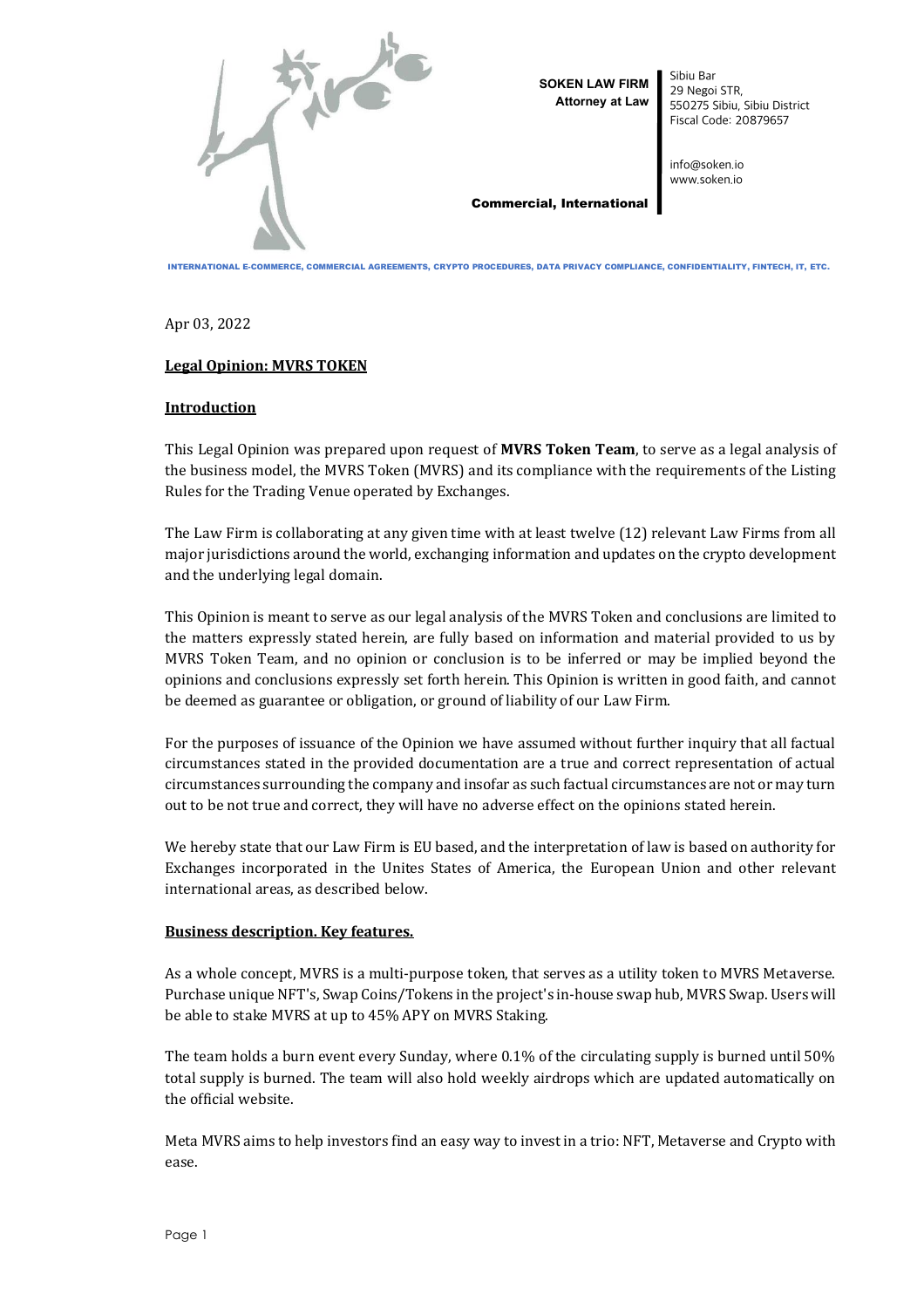

**SOKEN LAW FIRM Attorney at Law**  Sibiu Bar 29 Negoi STR, 550275 Sibiu, Sibiu District Fiscal Code: 20879657

info@soken.io www.soken.io

#### Commercial, International

INTERNATIONAL E-COMMERCE, COMMERCIAL AGREEMENTS, CRYPTO PROCEDURES, DATA PRIVACY COMPLIANCE, CONFIDENTIALITY, FINTECH, IT, ETC.

Apr 03, 2022

# **Legal Opinion: MVRS TOKEN**

# **Introduction**

This Legal Opinion was prepared upon request of **MVRS Token Team**, to serve as a legal analysis of the business model, the MVRS Token (MVRS) and its compliance with the requirements of the Listing Rules for the Trading Venue operated by Exchanges.

The Law Firm is collaborating at any given time with at least twelve (12) relevant Law Firms from all major jurisdictions around the world, exchanging information and updates on the crypto development and the underlying legal domain.

This Opinion is meant to serve as our legal analysis of the MVRS Token and conclusions are limited to the matters expressly stated herein, are fully based on information and material provided to us by MVRS Token Team, and no opinion or conclusion is to be inferred or may be implied beyond the opinions and conclusions expressly set forth herein. This Opinion is written in good faith, and cannot be deemed as guarantee or obligation, or ground of liability of our Law Firm.

For the purposes of issuance of the Opinion we have assumed without further inquiry that all factual circumstances stated in the provided documentation are a true and correct representation of actual circumstances surrounding the company and insofar as such factual circumstances are not or may turn out to be not true and correct, they will have no adverse effect on the opinions stated herein.

We hereby state that our Law Firm is EU based, and the interpretation of law is based on authority for Exchanges incorporated in the Unites States of America, the European Union and other relevant international areas, as described below.

# **Business description. Key features.**

As a whole concept, MVRS is a multi-purpose token, that serves as a utility token to MVRS Metaverse. Purchase unique NFT's, Swap Coins/Tokens in the project's in-house swap hub, MVRS Swap. Users will be able to stake MVRS at up to 45% APY on MVRS Staking.

The team holds a burn event every Sunday, where 0.1% of the circulating supply is burned until 50% total supply is burned. The team will also hold weekly airdrops which are updated automatically on the official website.

Meta MVRS aims to help investors find an easy way to invest in a trio: NFT, Metaverse and Crypto with ease.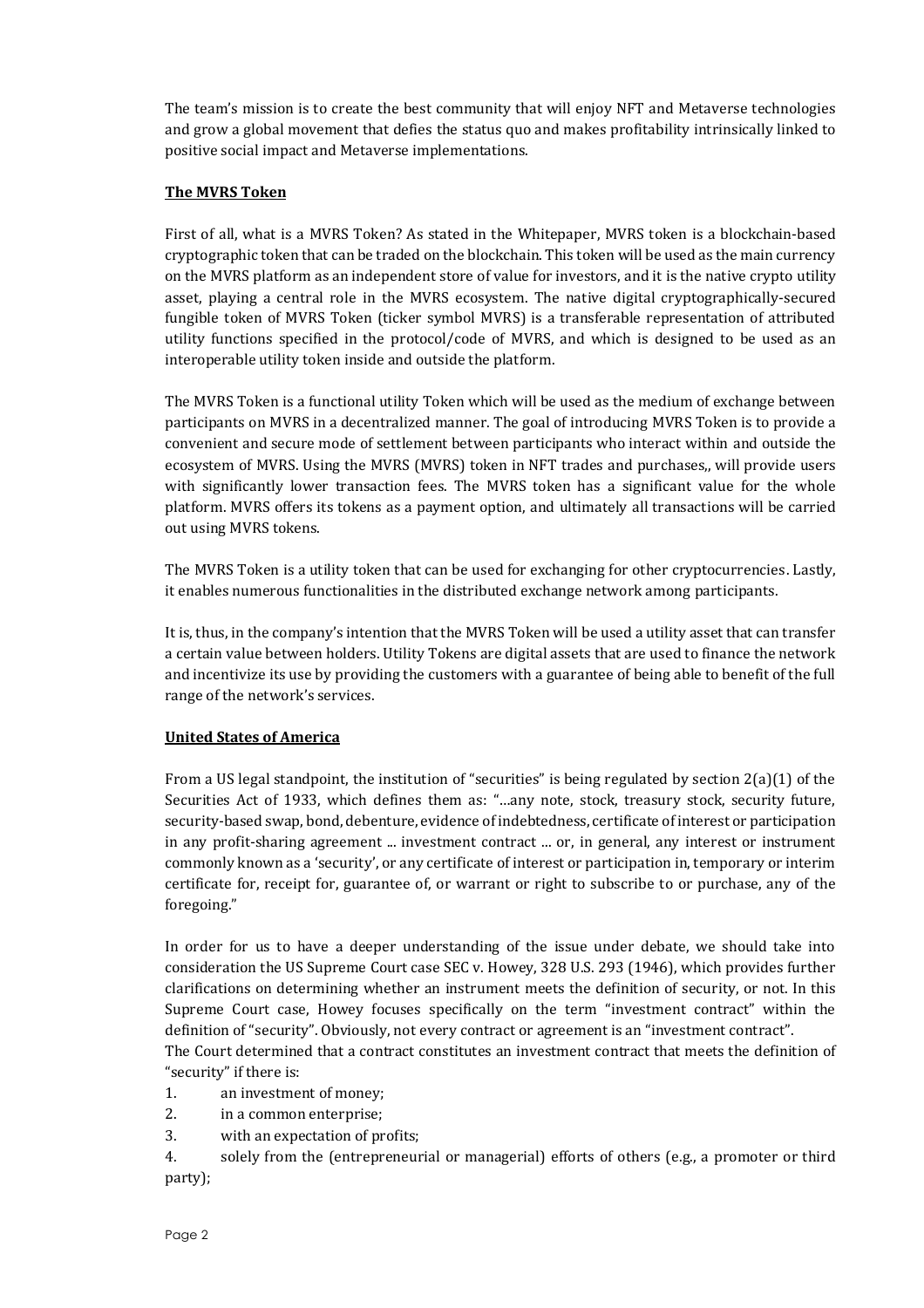The team's mission is to create the best community that will enjoy NFT and Metaverse technologies and grow a global movement that defies the status quo and makes profitability intrinsically linked to positive social impact and Metaverse implementations.

#### **The MVRS Token**

First of all, what is a MVRS Token? As stated in the Whitepaper, MVRS token is a blockchain-based cryptographic token that can be traded on the blockchain. This token will be used as the main currency on the MVRS platform as an independent store of value for investors, and it is the native crypto utility asset, playing a central role in the MVRS ecosystem. The native digital cryptographically-secured fungible token of MVRS Token (ticker symbol MVRS) is a transferable representation of attributed utility functions specified in the protocol/code of MVRS, and which is designed to be used as an interoperable utility token inside and outside the platform.

The MVRS Token is a functional utility Token which will be used as the medium of exchange between participants on MVRS in a decentralized manner. The goal of introducing MVRS Token is to provide a convenient and secure mode of settlement between participants who interact within and outside the ecosystem of MVRS. Using the MVRS (MVRS) token in NFT trades and purchases,, will provide users with significantly lower transaction fees. The MVRS token has a significant value for the whole platform. MVRS offers its tokens as a payment option, and ultimately all transactions will be carried out using MVRS tokens.

The MVRS Token is a utility token that can be used for exchanging for other cryptocurrencies. Lastly, it enables numerous functionalities in the distributed exchange network among participants.

It is, thus, in the company's intention that the MVRS Token will be used a utility asset that can transfer a certain value between holders. Utility Tokens are digital assets that are used to finance the network and incentivize its use by providing the customers with a guarantee of being able to benefit of the full range of the network's services.

# **United States of America**

From a US legal standpoint, the institution of "securities" is being regulated by section 2(a)(1) of the Securities Act of 1933, which defines them as: "…any note, stock, treasury stock, security future, security-based swap, bond, debenture, evidence of indebtedness, certificate of interest or participation in any profit-sharing agreement ... investment contract ... or, in general, any interest or instrument commonly known as a 'security', or any certificate of interest or participation in, temporary or interim certificate for, receipt for, guarantee of, or warrant or right to subscribe to or purchase, any of the foregoing."

In order for us to have a deeper understanding of the issue under debate, we should take into consideration the US Supreme Court case SEC v. Howey, 328 U.S. 293 (1946), which provides further clarifications on determining whether an instrument meets the definition of security, or not. In this Supreme Court case, Howey focuses specifically on the term "investment contract" within the definition of "security". Obviously, not every contract or agreement is an "investment contract".

The Court determined that a contract constitutes an investment contract that meets the definition of "security" if there is:

1. an investment of money;

2. in a common enterprise;

3. with an expectation of profits;

4. solely from the (entrepreneurial or managerial) efforts of others (e.g., a promoter or third party);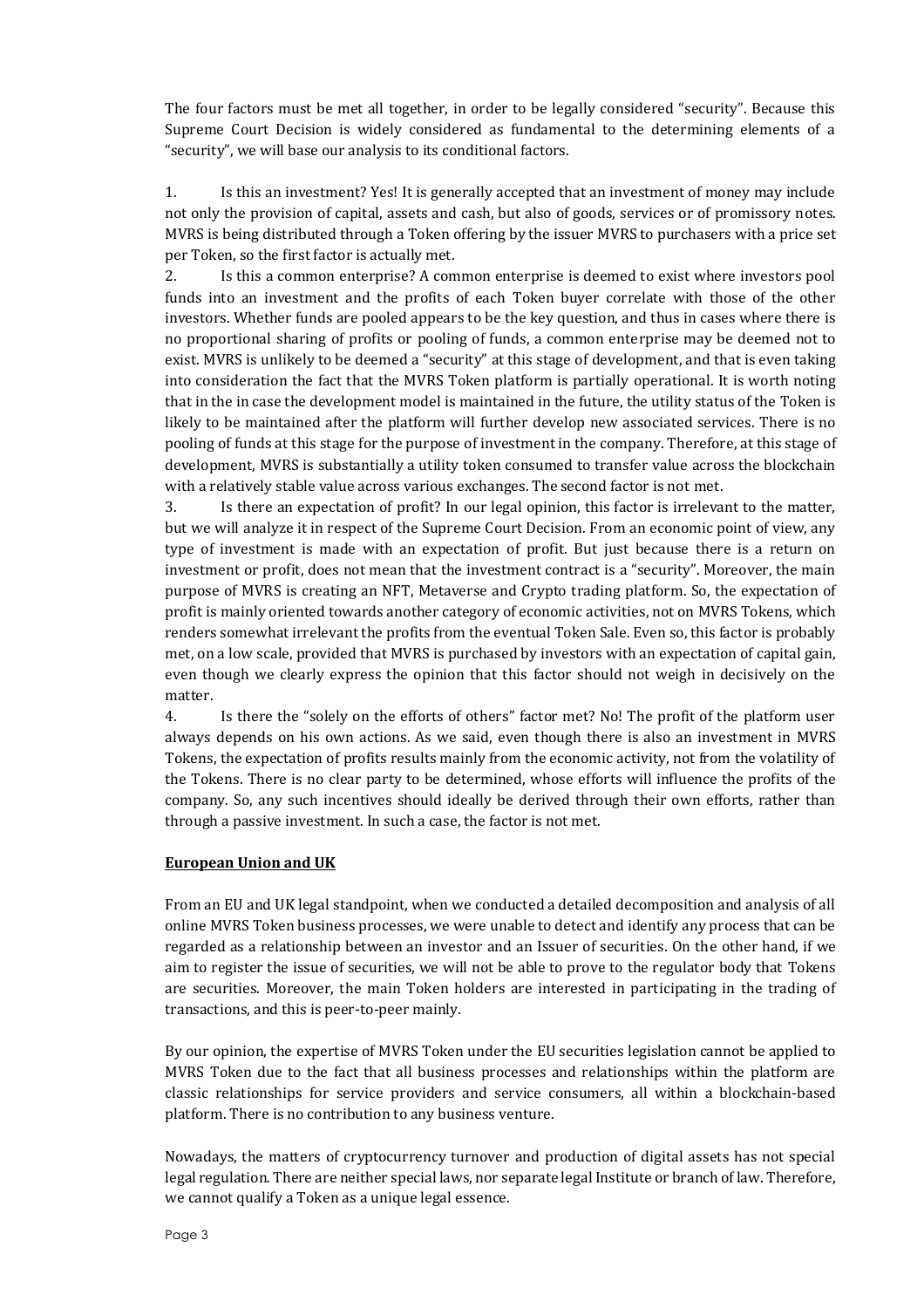The four factors must be met all together, in order to be legally considered "security". Because this Supreme Court Decision is widely considered as fundamental to the determining elements of a "security", we will base our analysis to its conditional factors.

1. Is this an investment? Yes! It is generally accepted that an investment of money may include not only the provision of capital, assets and cash, but also of goods, services or of promissory notes. MVRS is being distributed through a Token offering by the issuer MVRS to purchasers with a price set per Token, so the first factor is actually met.

2. Is this a common enterprise? A common enterprise is deemed to exist where investors pool funds into an investment and the profits of each Token buyer correlate with those of the other investors. Whether funds are pooled appears to be the key question, and thus in cases where there is no proportional sharing of profits or pooling of funds, a common enterprise may be deemed not to exist. MVRS is unlikely to be deemed a "security" at this stage of development, and that is even taking into consideration the fact that the MVRS Token platform is partially operational. It is worth noting that in the in case the development model is maintained in the future, the utility status of the Token is likely to be maintained after the platform will further develop new associated services. There is no pooling of funds at this stage for the purpose of investment in the company. Therefore, at this stage of development, MVRS is substantially a utility token consumed to transfer value across the blockchain with a relatively stable value across various exchanges. The second factor is not met.

3. Is there an expectation of profit? In our legal opinion, this factor is irrelevant to the matter, but we will analyze it in respect of the Supreme Court Decision. From an economic point of view, any type of investment is made with an expectation of profit. But just because there is a return on investment or profit, does not mean that the investment contract is a "security". Moreover, the main purpose of MVRS is creating an NFT, Metaverse and Crypto trading platform. So, the expectation of profit is mainly oriented towards another category of economic activities, not on MVRS Tokens, which renders somewhat irrelevant the profits from the eventual Token Sale. Even so, this factor is probably met, on a low scale, provided that MVRS is purchased by investors with an expectation of capital gain, even though we clearly express the opinion that this factor should not weigh in decisively on the matter.

4. Is there the "solely on the efforts of others" factor met? No! The profit of the platform user always depends on his own actions. As we said, even though there is also an investment in MVRS Tokens, the expectation of profits results mainly from the economic activity, not from the volatility of the Tokens. There is no clear party to be determined, whose efforts will influence the profits of the company. So, any such incentives should ideally be derived through their own efforts, rather than through a passive investment. In such a case, the factor is not met.

# **European Union and UK**

From an EU and UK legal standpoint, when we conducted a detailed decomposition and analysis of all online MVRS Token business processes, we were unable to detect and identify any process that can be regarded as a relationship between an investor and an Issuer of securities. On the other hand, if we aim to register the issue of securities, we will not be able to prove to the regulator body that Tokens are securities. Moreover, the main Token holders are interested in participating in the trading of transactions, and this is peer-to-peer mainly.

By our opinion, the expertise of MVRS Token under the EU securities legislation cannot be applied to MVRS Token due to the fact that all business processes and relationships within the platform are classic relationships for service providers and service consumers, all within a blockchain-based platform. There is no contribution to any business venture.

Nowadays, the matters of cryptocurrency turnover and production of digital assets has not special legal regulation. There are neither special laws, nor separate legal Institute or branch of law. Therefore, we cannot qualify a Token as a unique legal essence.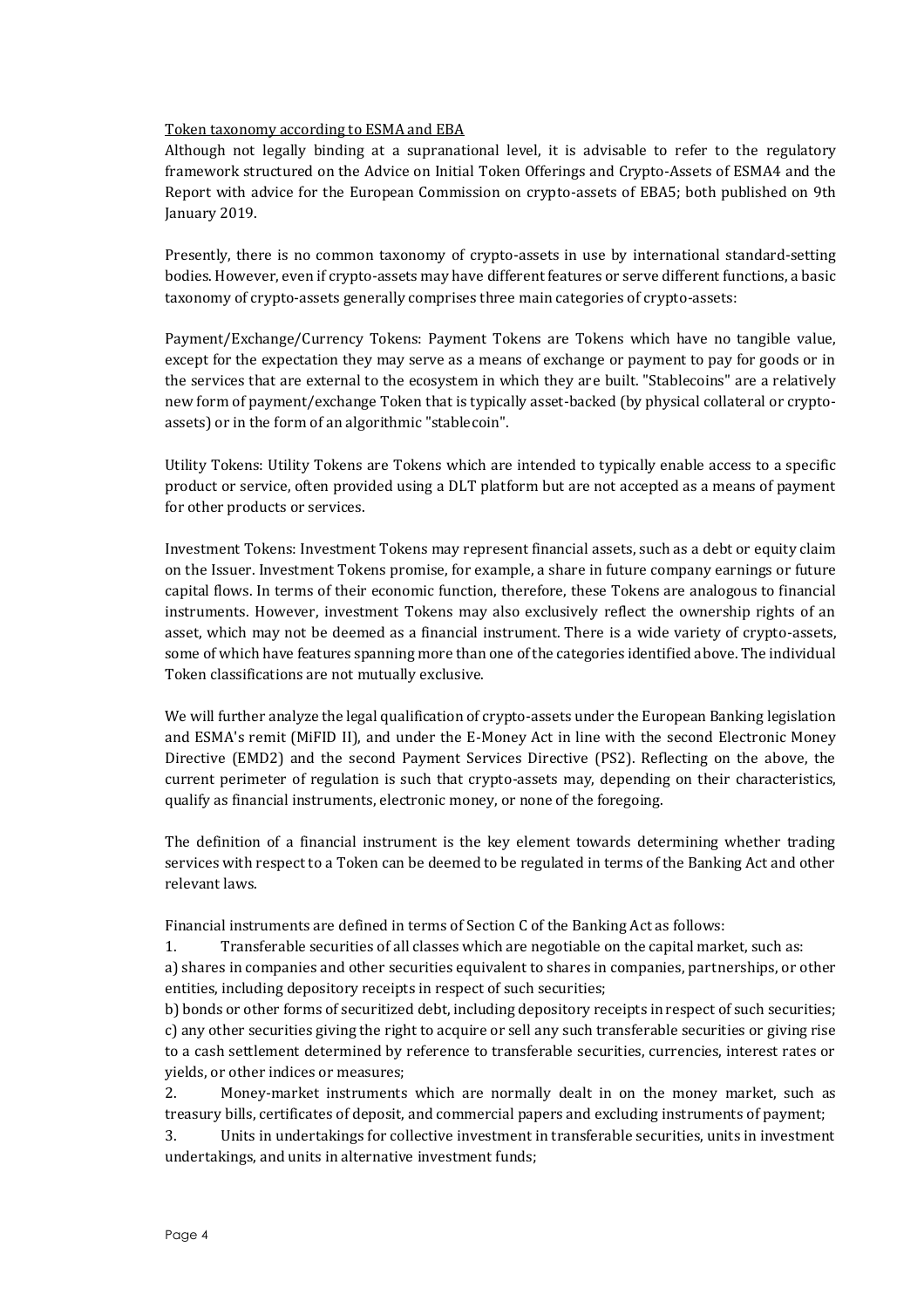#### Token taxonomy according to ESMA and EBA

Although not legally binding at a supranational level, it is advisable to refer to the regulatory framework structured on the Advice on Initial Token Offerings and Crypto-Assets of ESMA4 and the Report with advice for the European Commission on crypto-assets of EBA5; both published on 9th January 2019.

Presently, there is no common taxonomy of crypto-assets in use by international standard-setting bodies. However, even if crypto-assets may have different features or serve different functions, a basic taxonomy of crypto-assets generally comprises three main categories of crypto-assets:

Payment/Exchange/Currency Tokens: Payment Tokens are Tokens which have no tangible value, except for the expectation they may serve as a means of exchange or payment to pay for goods or in the services that are external to the ecosystem in which they are built. "Stablecoins" are a relatively new form of payment/exchange Token that is typically asset-backed (by physical collateral or cryptoassets) or in the form of an algorithmic "stablecoin".

Utility Tokens: Utility Tokens are Tokens which are intended to typically enable access to a specific product or service, often provided using a DLT platform but are not accepted as a means of payment for other products or services.

Investment Tokens: Investment Tokens may represent financial assets, such as a debt or equity claim on the Issuer. Investment Tokens promise, for example, a share in future company earnings or future capital flows. In terms of their economic function, therefore, these Tokens are analogous to financial instruments. However, investment Tokens may also exclusively reflect the ownership rights of an asset, which may not be deemed as a financial instrument. There is a wide variety of crypto-assets, some of which have features spanning more than one of the categories identified above. The individual Token classifications are not mutually exclusive.

We will further analyze the legal qualification of crypto-assets under the European Banking legislation and ESMA's remit (MiFID II), and under the E-Money Act in line with the second Electronic Money Directive (EMD2) and the second Payment Services Directive (PS2). Reflecting on the above, the current perimeter of regulation is such that crypto-assets may, depending on their characteristics, qualify as financial instruments, electronic money, or none of the foregoing.

The definition of a financial instrument is the key element towards determining whether trading services with respect to a Token can be deemed to be regulated in terms of the Banking Act and other relevant laws.

Financial instruments are defined in terms of Section C of the Banking Act as follows:

1. Transferable securities of all classes which are negotiable on the capital market, such as:

a) shares in companies and other securities equivalent to shares in companies, partnerships, or other entities, including depository receipts in respect of such securities;

b) bonds or other forms of securitized debt, including depository receipts in respect of such securities; c) any other securities giving the right to acquire or sell any such transferable securities or giving rise to a cash settlement determined by reference to transferable securities, currencies, interest rates or yields, or other indices or measures;

2. Money-market instruments which are normally dealt in on the money market, such as treasury bills, certificates of deposit, and commercial papers and excluding instruments of payment;

3. Units in undertakings for collective investment in transferable securities, units in investment undertakings, and units in alternative investment funds;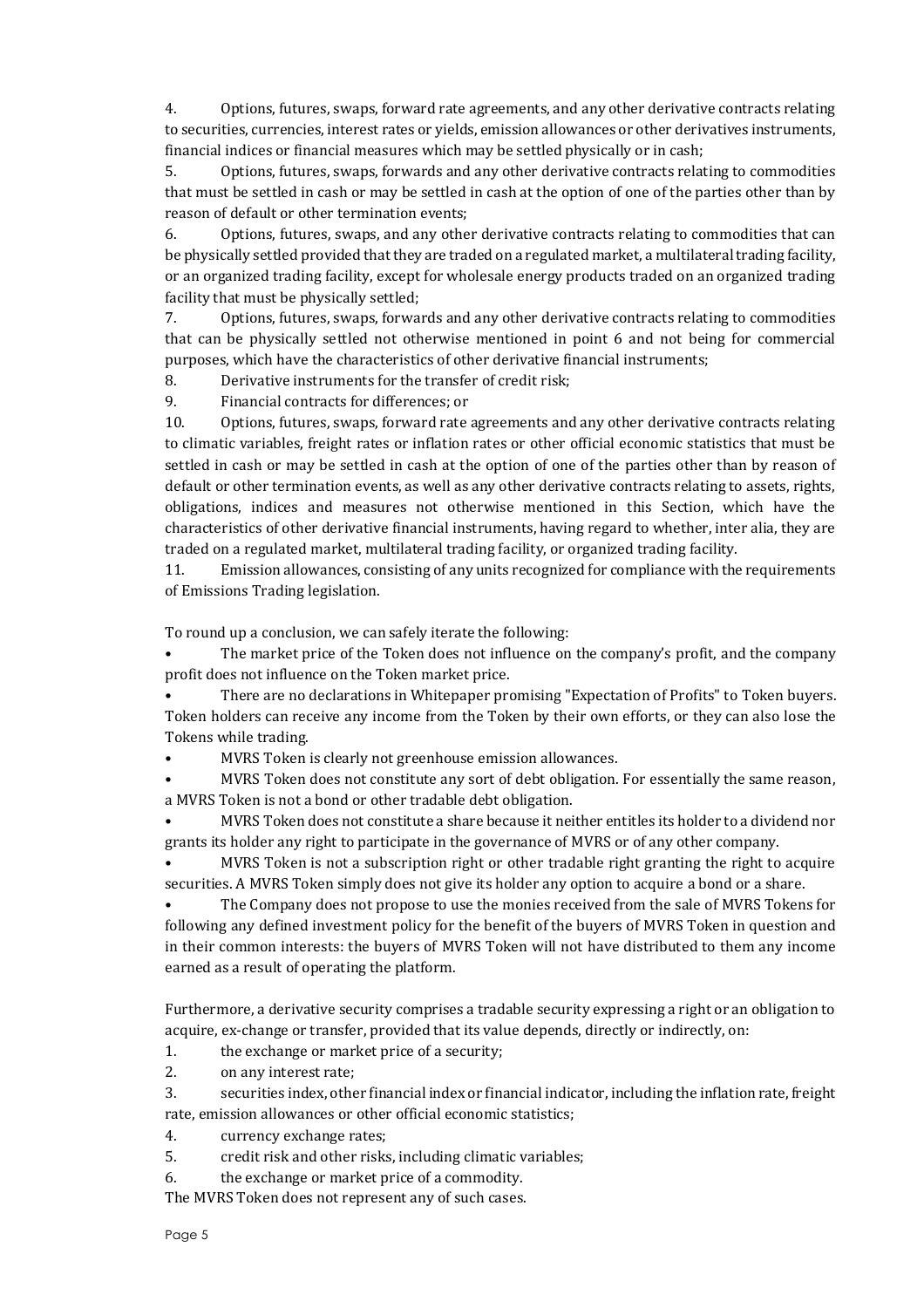4. Options, futures, swaps, forward rate agreements, and any other derivative contracts relating to securities, currencies, interest rates or yields, emission allowances or other derivatives instruments, financial indices or financial measures which may be settled physically or in cash;

5. Options, futures, swaps, forwards and any other derivative contracts relating to commodities that must be settled in cash or may be settled in cash at the option of one of the parties other than by reason of default or other termination events;

6. Options, futures, swaps, and any other derivative contracts relating to commodities that can be physically settled provided that they are traded on a regulated market, a multilateral trading facility, or an organized trading facility, except for wholesale energy products traded on an organized trading facility that must be physically settled;

7. Options, futures, swaps, forwards and any other derivative contracts relating to commodities that can be physically settled not otherwise mentioned in point 6 and not being for commercial purposes, which have the characteristics of other derivative financial instruments;

8. Derivative instruments for the transfer of credit risk;

9. Financial contracts for differences; or

10. Options, futures, swaps, forward rate agreements and any other derivative contracts relating to climatic variables, freight rates or inflation rates or other official economic statistics that must be settled in cash or may be settled in cash at the option of one of the parties other than by reason of default or other termination events, as well as any other derivative contracts relating to assets, rights, obligations, indices and measures not otherwise mentioned in this Section, which have the characteristics of other derivative financial instruments, having regard to whether, inter alia, they are traded on a regulated market, multilateral trading facility, or organized trading facility.

11. Emission allowances, consisting of any units recognized for compliance with the requirements of Emissions Trading legislation.

To round up a conclusion, we can safely iterate the following:

The market price of the Token does not influence on the company's profit, and the company profit does not influence on the Token market price.

• There are no declarations in Whitepaper promising "Expectation of Profits" to Token buyers. Token holders can receive any income from the Token by their own efforts, or they can also lose the Tokens while trading.

• MVRS Token is clearly not greenhouse emission allowances.

• MVRS Token does not constitute any sort of debt obligation. For essentially the same reason, a MVRS Token is not a bond or other tradable debt obligation.

• MVRS Token does not constitute a share because it neither entitles its holder to a dividend nor grants its holder any right to participate in the governance of MVRS or of any other company.

• MVRS Token is not a subscription right or other tradable right granting the right to acquire securities. A MVRS Token simply does not give its holder any option to acquire a bond or a share.

• The Company does not propose to use the monies received from the sale of MVRS Tokens for following any defined investment policy for the benefit of the buyers of MVRS Token in question and in their common interests: the buyers of MVRS Token will not have distributed to them any income earned as a result of operating the platform.

Furthermore, a derivative security comprises a tradable security expressing a right or an obligation to acquire, ex-change or transfer, provided that its value depends, directly or indirectly, on:

1. the exchange or market price of a security;

2. on any interest rate;

3. securities index, other financial index or financial indicator, including the inflation rate, freight rate, emission allowances or other official economic statistics;

- 4. currency exchange rates;
- 5. credit risk and other risks, including climatic variables;
- 6. the exchange or market price of a commodity.

The MVRS Token does not represent any of such cases.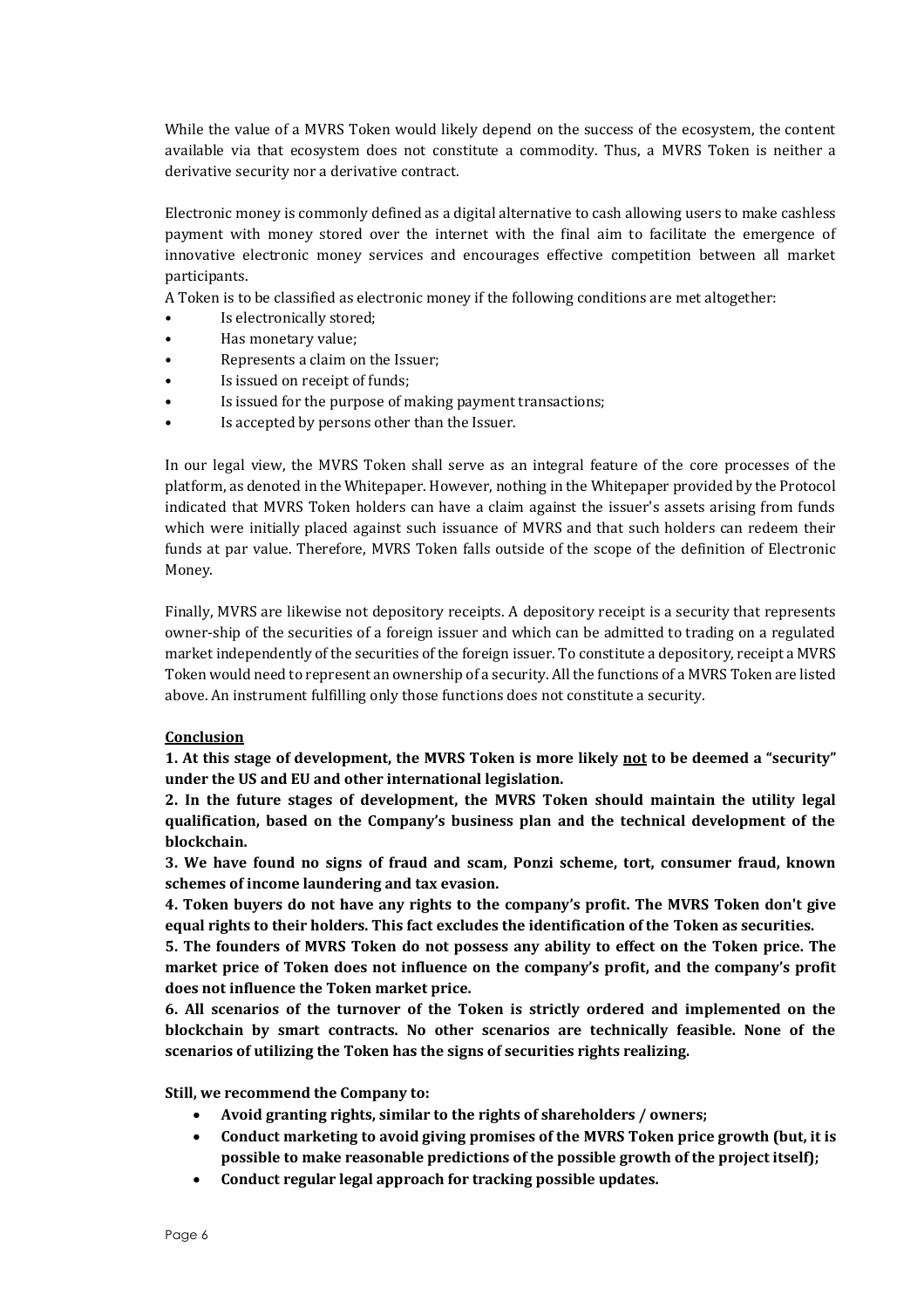While the value of a MVRS Token would likely depend on the success of the ecosystem, the content available via that ecosystem does not constitute a commodity. Thus, a MVRS Token is neither a derivative security nor a derivative contract.

Electronic money is commonly defined as a digital alternative to cash allowing users to make cashless payment with money stored over the internet with the final aim to facilitate the emergence of innovative electronic money services and encourages effective competition between all market participants.

A Token is to be classified as electronic money if the following conditions are met altogether:

- Is electronically stored;
- Has monetary value;
- Represents a claim on the Issuer;
- Is issued on receipt of funds;
- Is issued for the purpose of making payment transactions;
- Is accepted by persons other than the Issuer.

In our legal view, the MVRS Token shall serve as an integral feature of the core processes of the platform, as denoted in the Whitepaper. However, nothing in the Whitepaper provided by the Protocol indicated that MVRS Token holders can have a claim against the issuer's assets arising from funds which were initially placed against such issuance of MVRS and that such holders can redeem their funds at par value. Therefore, MVRS Token falls outside of the scope of the definition of Electronic Money.

Finally, MVRS are likewise not depository receipts. A depository receipt is a security that represents owner-ship of the securities of a foreign issuer and which can be admitted to trading on a regulated market independently of the securities of the foreign issuer. To constitute a depository, receipt a MVRS Token would need to represent an ownership of a security. All the functions of a MVRS Token are listed above. An instrument fulfilling only those functions does not constitute a security.

#### **Conclusion**

**1. At this stage of development, the MVRS Token is more likely not to be deemed a "security" under the US and EU and other international legislation.**

**2. In the future stages of development, the MVRS Token should maintain the utility legal qualification, based on the Company's business plan and the technical development of the blockchain.**

**3. We have found no signs of fraud and scam, Ponzi scheme, tort, consumer fraud, known schemes of income laundering and tax evasion.**

**4. Token buyers do not have any rights to the company's profit. The MVRS Token don't give equal rights to their holders. This fact excludes the identification of the Token as securities.**

**5. The founders of MVRS Token do not possess any ability to effect on the Token price. The market price of Token does not influence on the company's profit, and the company's profit does not influence the Token market price.**

**6. All scenarios of the turnover of the Token is strictly ordered and implemented on the blockchain by smart contracts. No other scenarios are technically feasible. None of the scenarios of utilizing the Token has the signs of securities rights realizing.**

**Still, we recommend the Company to:**

- **Avoid granting rights, similar to the rights of shareholders / owners;**
- **Conduct marketing to avoid giving promises of the MVRS Token price growth (but, it is possible to make reasonable predictions of the possible growth of the project itself);**
- **Conduct regular legal approach for tracking possible updates.**